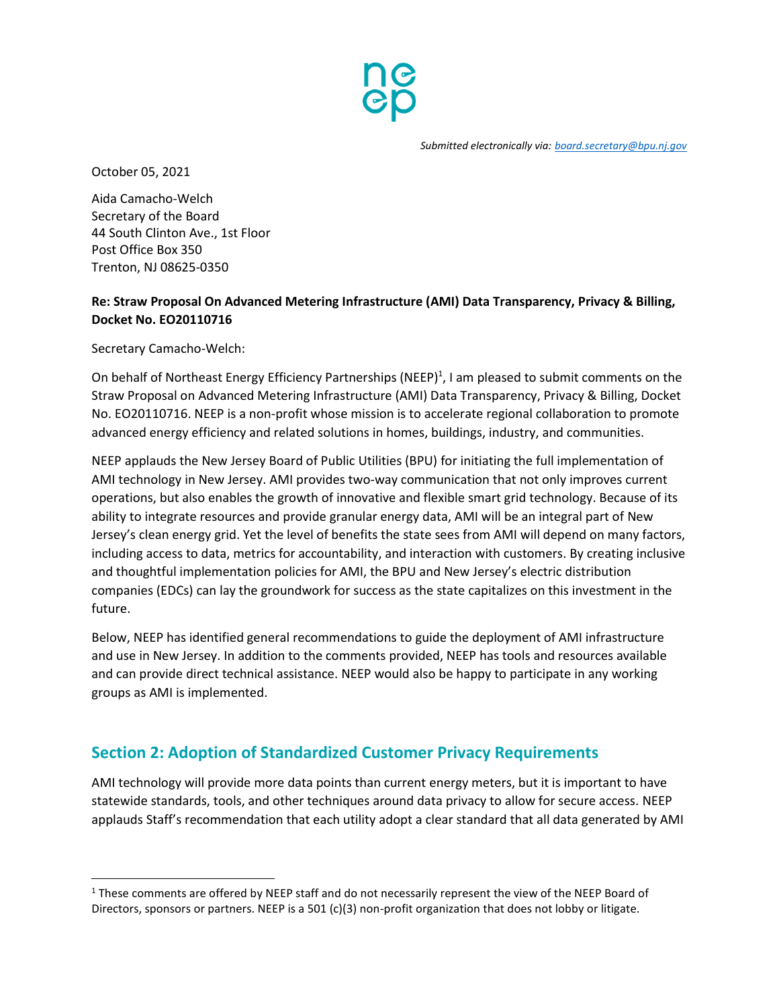

October 05, 2021

Aida Camacho-Welch Secretary of the Board 44 South Clinton Ave., 1st Floor Post Office Box 350 Trenton, NJ 08625-0350

#### **Re: Straw Proposal On Advanced Metering Infrastructure (AMI) Data Transparency, Privacy & Billing, Docket No. EO20110716**

Secretary Camacho-Welch:

l

On behalf of Northeast Energy Efficiency Partnerships (NEEP)<sup>1</sup>, I am pleased to submit comments on the Straw Proposal on Advanced Metering Infrastructure (AMI) Data Transparency, Privacy & Billing, Docket No. EO20110716. NEEP is a non-profit whose mission is to accelerate regional collaboration to promote advanced energy efficiency and related solutions in homes, buildings, industry, and communities.

NEEP applauds the New Jersey Board of Public Utilities (BPU) for initiating the full implementation of AMI technology in New Jersey. AMI provides two-way communication that not only improves current operations, but also enables the growth of innovative and flexible smart grid technology. Because of its ability to integrate resources and provide granular energy data, AMI will be an integral part of New Jersey's clean energy grid. Yet the level of benefits the state sees from AMI will depend on many factors, including access to data, metrics for accountability, and interaction with customers. By creating inclusive and thoughtful implementation policies for AMI, the BPU and New Jersey's electric distribution companies (EDCs) can lay the groundwork for success as the state capitalizes on this investment in the future.

Below, NEEP has identified general recommendations to guide the deployment of AMI infrastructure and use in New Jersey. In addition to the comments provided, NEEP has tools and resources available and can provide direct technical assistance. NEEP would also be happy to participate in any working groups as AMI is implemented.

## **Section 2: Adoption of Standardized Customer Privacy Requirements**

AMI technology will provide more data points than current energy meters, but it is important to have statewide standards, tools, and other techniques around data privacy to allow for secure access. NEEP applauds Staff's recommendation that each utility adopt a clear standard that all data generated by AMI

<sup>&</sup>lt;sup>1</sup> These comments are offered by NEEP staff and do not necessarily represent the view of the NEEP Board of Directors, sponsors or partners. NEEP is a 501 (c)(3) non-profit organization that does not lobby or litigate.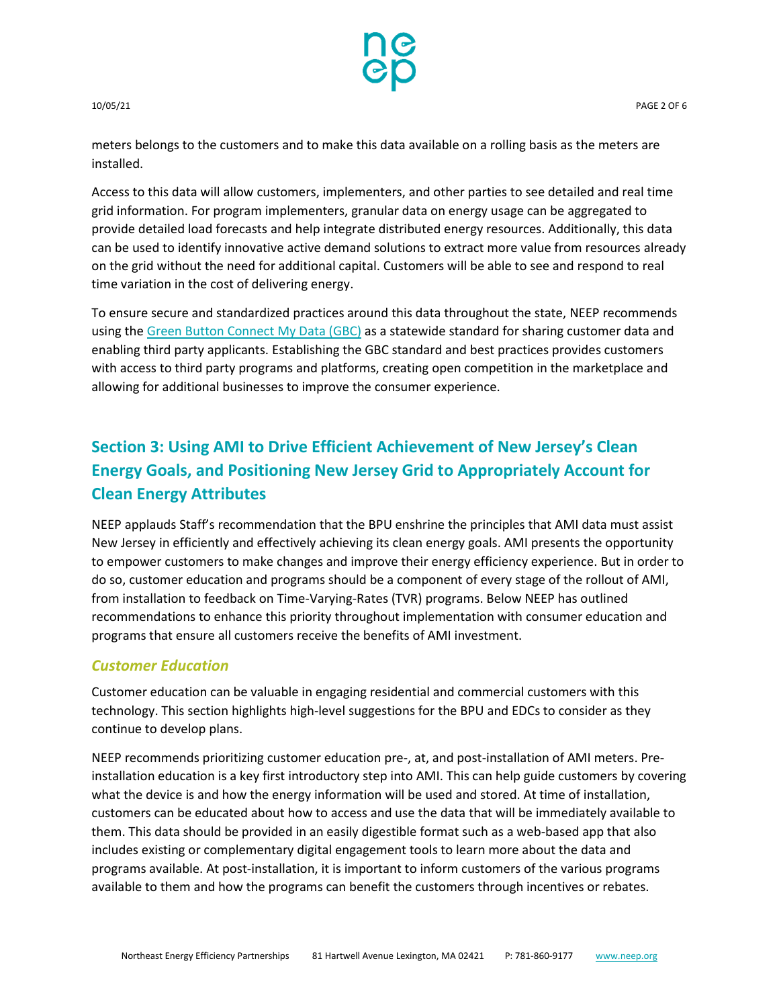

meters belongs to the customers and to make this data available on a rolling basis as the meters are installed.

Access to this data will allow customers, implementers, and other parties to see detailed and real time grid information. For program implementers, granular data on energy usage can be aggregated to provide detailed load forecasts and help integrate distributed energy resources. Additionally, this data can be used to identify innovative active demand solutions to extract more value from resources already on the grid without the need for additional capital. Customers will be able to see and respond to real time variation in the cost of delivering energy.

To ensure secure and standardized practices around this data throughout the state, NEEP recommends using the [Green Button Connect My Data \(GBC\)](https://www.energy.gov/data/green-button) as a statewide standard for sharing customer data and enabling third party applicants. Establishing the GBC standard and best practices provides customers with access to third party programs and platforms, creating open competition in the marketplace and allowing for additional businesses to improve the consumer experience.

# **Section 3: Using AMI to Drive Efficient Achievement of New Jersey's Clean Energy Goals, and Positioning New Jersey Grid to Appropriately Account for Clean Energy Attributes**

NEEP applauds Staff's recommendation that the BPU enshrine the principles that AMI data must assist New Jersey in efficiently and effectively achieving its clean energy goals. AMI presents the opportunity to empower customers to make changes and improve their energy efficiency experience. But in order to do so, customer education and programs should be a component of every stage of the rollout of AMI, from installation to feedback on Time-Varying-Rates (TVR) programs. Below NEEP has outlined recommendations to enhance this priority throughout implementation with consumer education and programs that ensure all customers receive the benefits of AMI investment.

#### *Customer Education*

Customer education can be valuable in engaging residential and commercial customers with this technology. This section highlights high-level suggestions for the BPU and EDCs to consider as they continue to develop plans.

NEEP recommends prioritizing customer education pre-, at, and post-installation of AMI meters. Preinstallation education is a key first introductory step into AMI. This can help guide customers by covering what the device is and how the energy information will be used and stored. At time of installation, customers can be educated about how to access and use the data that will be immediately available to them. This data should be provided in an easily digestible format such as a web-based app that also includes existing or complementary digital engagement tools to learn more about the data and programs available. At post-installation, it is important to inform customers of the various programs available to them and how the programs can benefit the customers through incentives or rebates.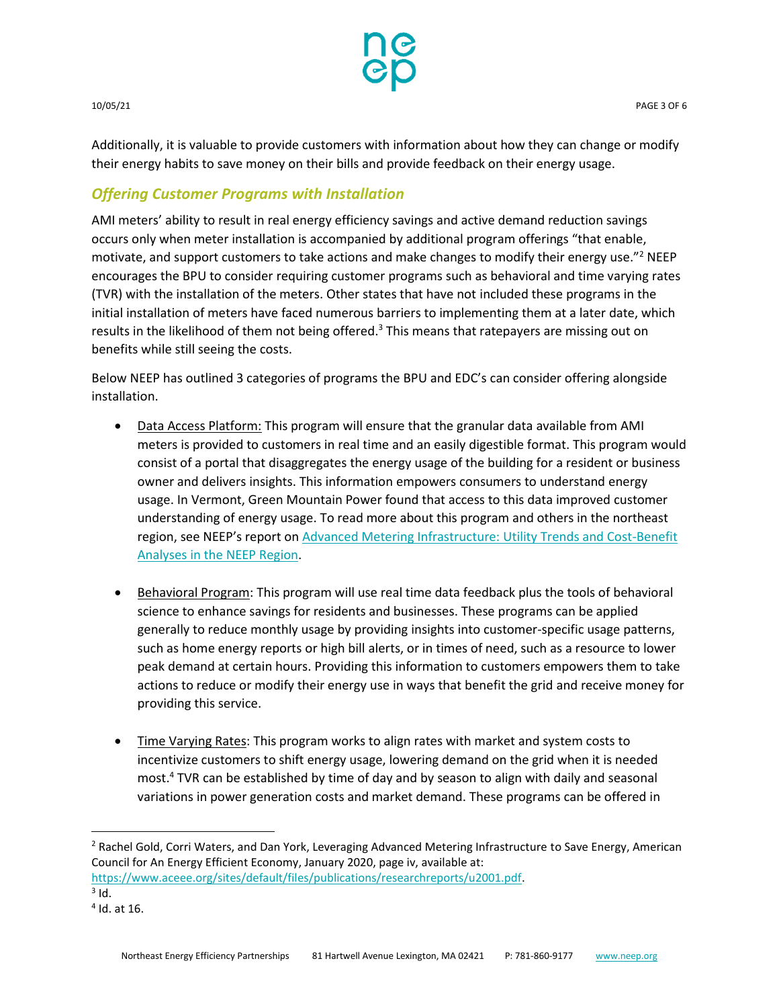

Additionally, it is valuable to provide customers with information about how they can change or modify their energy habits to save money on their bills and provide feedback on their energy usage.

#### *Offering Customer Programs with Installation*

AMI meters' ability to result in real energy efficiency savings and active demand reduction savings occurs only when meter installation is accompanied by additional program offerings "that enable, motivate, and support customers to take actions and make changes to modify their energy use."<sup>2</sup> NEEP encourages the BPU to consider requiring customer programs such as behavioral and time varying rates (TVR) with the installation of the meters. Other states that have not included these programs in the initial installation of meters have faced numerous barriers to implementing them at a later date, which results in the likelihood of them not being offered.<sup>3</sup> This means that ratepayers are missing out on benefits while still seeing the costs.

Below NEEP has outlined 3 categories of programs the BPU and EDC's can consider offering alongside installation.

- Data Access Platform: This program will ensure that the granular data available from AMI meters is provided to customers in real time and an easily digestible format. This program would consist of a portal that disaggregates the energy usage of the building for a resident or business owner and delivers insights. This information empowers consumers to understand energy usage. In Vermont, Green Mountain Power found that access to this data improved customer understanding of energy usage. To read more about this program and others in the northeast region, see NEEP's report on [Advanced Metering Infrastructure: Utility Trends and Cost-Benefit](https://neep.org/advanced-metering-infrastructure-utility-trends-and-cost-benefit-analyses-neep-region)  [Analyses in the NEEP Region.](https://neep.org/advanced-metering-infrastructure-utility-trends-and-cost-benefit-analyses-neep-region)
- **Behavioral Program:** This program will use real time data feedback plus the tools of behavioral science to enhance savings for residents and businesses. These programs can be applied generally to reduce monthly usage by providing insights into customer-specific usage patterns, such as home energy reports or high bill alerts, or in times of need, such as a resource to lower peak demand at certain hours. Providing this information to customers empowers them to take actions to reduce or modify their energy use in ways that benefit the grid and receive money for providing this service.
- Time Varying Rates: This program works to align rates with market and system costs to incentivize customers to shift energy usage, lowering demand on the grid when it is needed most. <sup>4</sup> TVR can be established by time of day and by season to align with daily and seasonal variations in power generation costs and market demand. These programs can be offered in

l

<sup>&</sup>lt;sup>2</sup> Rachel Gold, Corri Waters, and Dan York, Leveraging Advanced Metering Infrastructure to Save Energy, American Council for An Energy Efficient Economy, January 2020, page iv, available at:

[https://www.aceee.org/sites/default/files/publications/researchreports/u2001.pdf.](https://www.aceee.org/sites/default/files/publications/researchreports/u2001.pdf) 

 $3$  Id.

<sup>4</sup> Id. at 16.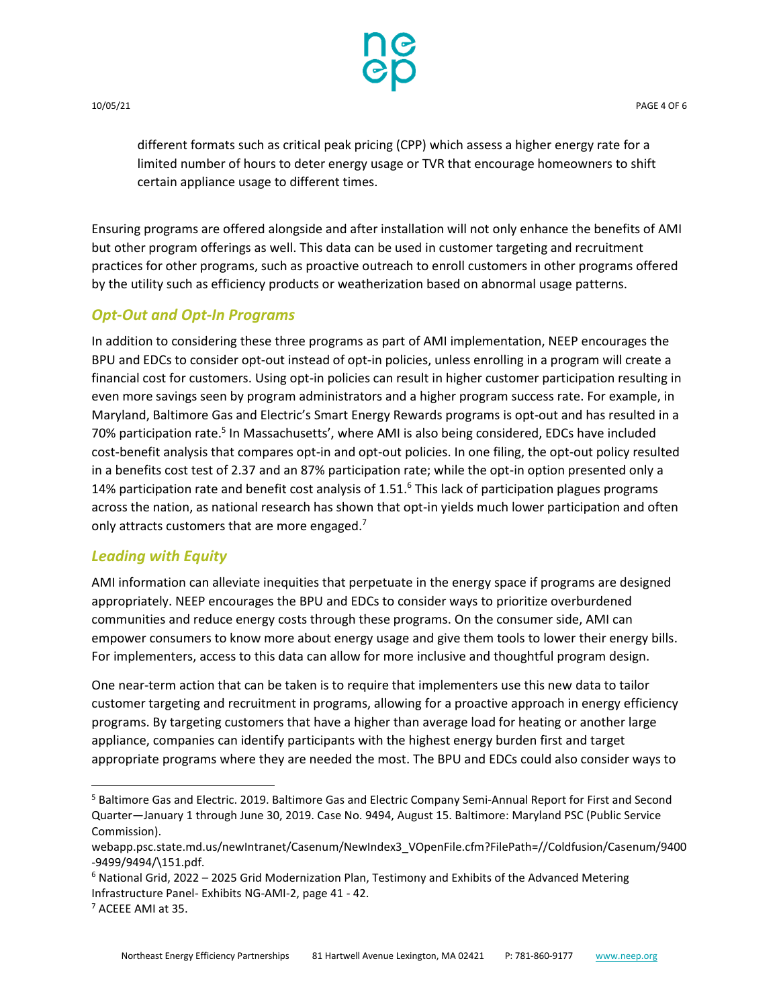

different formats such as critical peak pricing (CPP) which assess a higher energy rate for a limited number of hours to deter energy usage or TVR that encourage homeowners to shift certain appliance usage to different times.

Ensuring programs are offered alongside and after installation will not only enhance the benefits of AMI but other program offerings as well. This data can be used in customer targeting and recruitment practices for other programs, such as proactive outreach to enroll customers in other programs offered by the utility such as efficiency products or weatherization based on abnormal usage patterns.

#### *Opt-Out and Opt-In Programs*

In addition to considering these three programs as part of AMI implementation, NEEP encourages the BPU and EDCs to consider opt-out instead of opt-in policies, unless enrolling in a program will create a financial cost for customers. Using opt-in policies can result in higher customer participation resulting in even more savings seen by program administrators and a higher program success rate. For example, in Maryland, Baltimore Gas and Electric's Smart Energy Rewards programs is opt-out and has resulted in a 70% participation rate.<sup>5</sup> In Massachusetts', where AMI is also being considered, EDCs have included cost-benefit analysis that compares opt-in and opt-out policies. In one filing, the opt-out policy resulted in a benefits cost test of 2.37 and an 87% participation rate; while the opt-in option presented only a 14% participation rate and benefit cost analysis of 1.51.<sup>6</sup> This lack of participation plagues programs across the nation, as national research has shown that opt-in yields much lower participation and often only attracts customers that are more engaged.<sup>7</sup>

#### *Leading with Equity*

AMI information can alleviate inequities that perpetuate in the energy space if programs are designed appropriately. NEEP encourages the BPU and EDCs to consider ways to prioritize overburdened communities and reduce energy costs through these programs. On the consumer side, AMI can empower consumers to know more about energy usage and give them tools to lower their energy bills. For implementers, access to this data can allow for more inclusive and thoughtful program design.

One near-term action that can be taken is to require that implementers use this new data to tailor customer targeting and recruitment in programs, allowing for a proactive approach in energy efficiency programs. By targeting customers that have a higher than average load for heating or another large appliance, companies can identify participants with the highest energy burden first and target appropriate programs where they are needed the most. The BPU and EDCs could also consider ways to

 $\overline{\phantom{a}}$ 

<sup>5</sup> Baltimore Gas and Electric. 2019. Baltimore Gas and Electric Company Semi-Annual Report for First and Second Quarter—January 1 through June 30, 2019. Case No. 9494, August 15. Baltimore: Maryland PSC (Public Service Commission).

webapp.psc.state.md.us/newIntranet/Casenum/NewIndex3\_VOpenFile.cfm?FilePath=//Coldfusion/Casenum/9400 -9499/9494/\151.pdf.

 $6$  National Grid, 2022 – 2025 Grid Modernization Plan, Testimony and Exhibits of the Advanced Metering Infrastructure Panel- Exhibits NG-AMI-2, page 41 - 42.

<sup>7</sup> ACEEE AMI at 35.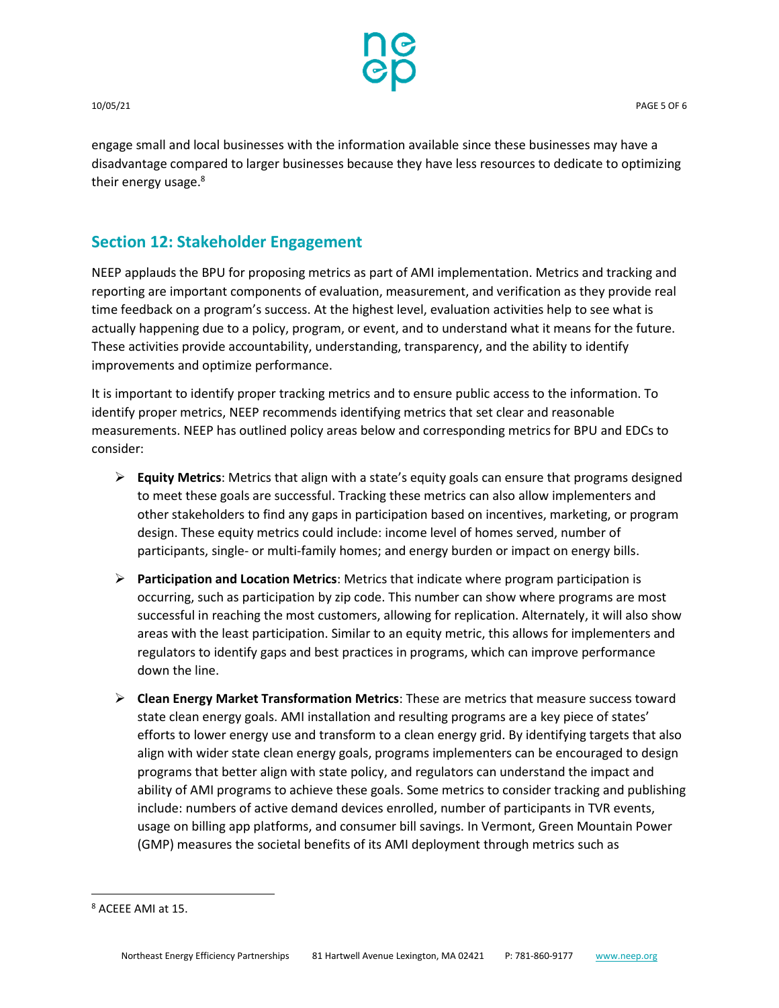

engage small and local businesses with the information available since these businesses may have a disadvantage compared to larger businesses because they have less resources to dedicate to optimizing their energy usage.<sup>8</sup>

# **Section 12: Stakeholder Engagement**

NEEP applauds the BPU for proposing metrics as part of AMI implementation. Metrics and tracking and reporting are important components of evaluation, measurement, and verification as they provide real time feedback on a program's success. At the highest level, evaluation activities help to see what is actually happening due to a policy, program, or event, and to understand what it means for the future. These activities provide accountability, understanding, transparency, and the ability to identify improvements and optimize performance.

It is important to identify proper tracking metrics and to ensure public access to the information. To identify proper metrics, NEEP recommends identifying metrics that set clear and reasonable measurements. NEEP has outlined policy areas below and corresponding metrics for BPU and EDCs to consider:

- **Equity Metrics**: Metrics that align with a state's equity goals can ensure that programs designed to meet these goals are successful. Tracking these metrics can also allow implementers and other stakeholders to find any gaps in participation based on incentives, marketing, or program design. These equity metrics could include: income level of homes served, number of participants, single- or multi-family homes; and energy burden or impact on energy bills.
- **Participation and Location Metrics**: Metrics that indicate where program participation is occurring, such as participation by zip code. This number can show where programs are most successful in reaching the most customers, allowing for replication. Alternately, it will also show areas with the least participation. Similar to an equity metric, this allows for implementers and regulators to identify gaps and best practices in programs, which can improve performance down the line.
- **Clean Energy Market Transformation Metrics**: These are metrics that measure success toward state clean energy goals. AMI installation and resulting programs are a key piece of states' efforts to lower energy use and transform to a clean energy grid. By identifying targets that also align with wider state clean energy goals, programs implementers can be encouraged to design programs that better align with state policy, and regulators can understand the impact and ability of AMI programs to achieve these goals. Some metrics to consider tracking and publishing include: numbers of active demand devices enrolled, number of participants in TVR events, usage on billing app platforms, and consumer bill savings. In Vermont, Green Mountain Power (GMP) measures the societal benefits of its AMI deployment through metrics such as

 $\overline{\phantom{a}}$ 

<sup>8</sup> ACEEE AMI at 15.